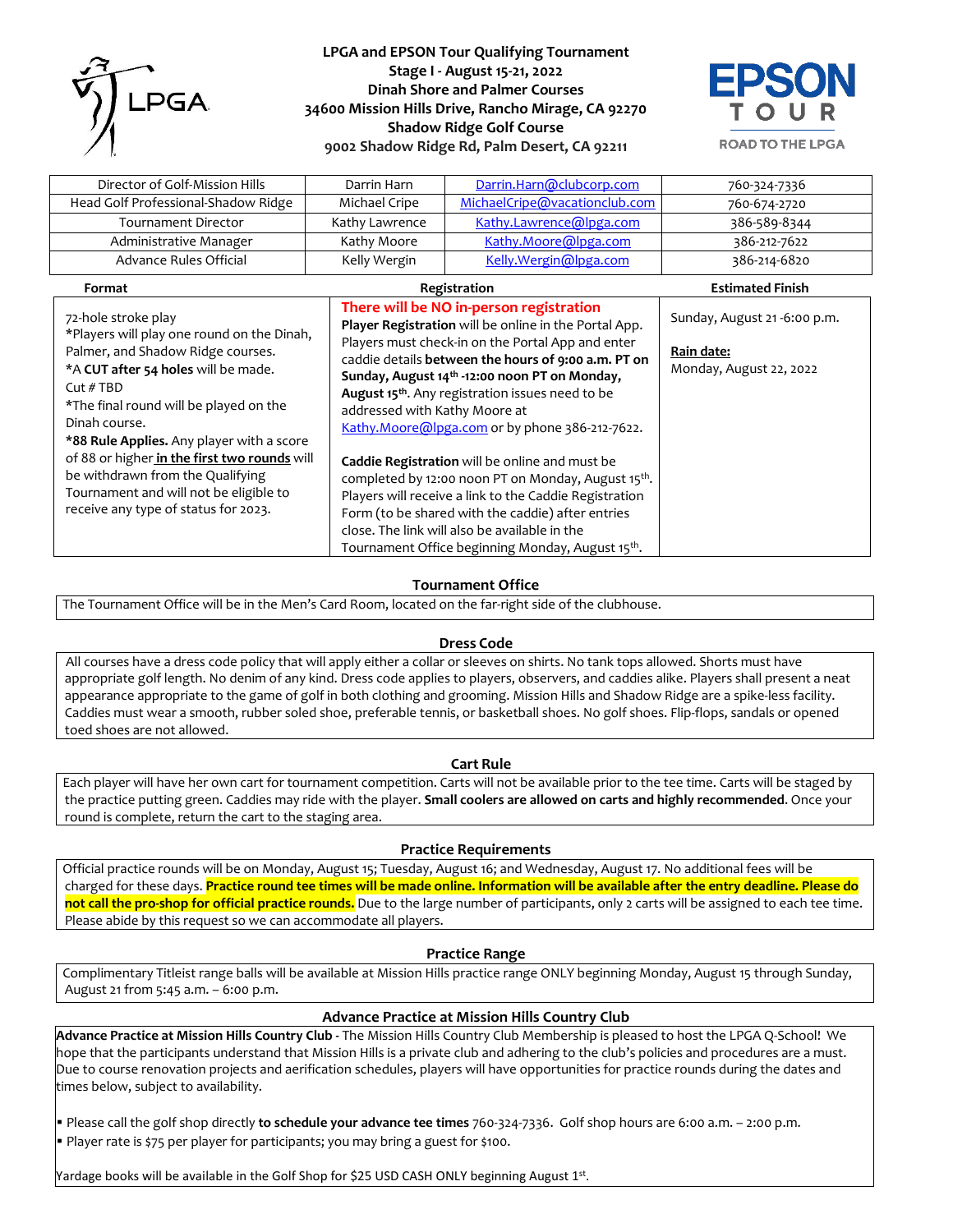

**LPGA and EPSON Tour Qualifying Tournament Stage I - August 15-21, 2022 Dinah Shore and Palmer Courses 34600 Mission Hills Drive, Rancho Mirage, CA 92270 Shadow Ridge Golf Course 9002 Shadow Ridge Rd, Palm Desert, CA 92211** 



**ROAD TO THE LPGA** 

| Director of Golf-Mission Hills      | Darrin Harn                             | Darrin.Harn@clubcorp.com      | 760-324-7336 |
|-------------------------------------|-----------------------------------------|-------------------------------|--------------|
| Head Golf Professional-Shadow Ridge | Michael Cripe                           | MichaelCripe@vacationclub.com | 760-674-2720 |
| Tournament Director                 | Kathy Lawrence                          | Kathy.Lawrence@lpga.com       | 386-589-8344 |
| Administrative Manager              | Kathy Moore                             | Kathy.Moore@lpga.com          | 386-212-7622 |
| Advance Rules Official              | Kelly Wergin                            | Kelly. Wergin@lpga.com        | 386-214-6820 |
| Format                              | <b>Estimated Finish</b><br>Registration |                               |              |

| 72-hole stroke play<br>*Players will play one round on the Dinah,<br>Palmer, and Shadow Ridge courses.<br>*A CUT after 54 holes will be made.<br>Cut #TBD<br>*The final round will be played on the<br>Dinah course.<br>*88 Rule Applies. Any player with a score<br>of 88 or higher in the first two rounds will<br>be withdrawn from the Qualifying<br>Tournament and will not be eligible to<br>receive any type of status for 2023. | There will be NO in-person registration<br>Player Registration will be online in the Portal App.<br>Players must check-in on the Portal App and enter<br>caddie details between the hours of 9:00 a.m. PT on<br>Sunday, August 14 <sup>th</sup> -12:00 noon PT on Monday,<br>August 15 <sup>th</sup> . Any registration issues need to be<br>addressed with Kathy Moore at<br>Kathy.Moore@lpga.com or by phone 386-212-7622. | Sunday, August 21-6:00 p.m.<br>Rain date:<br>Monday, August 22, 2022 |
|-----------------------------------------------------------------------------------------------------------------------------------------------------------------------------------------------------------------------------------------------------------------------------------------------------------------------------------------------------------------------------------------------------------------------------------------|------------------------------------------------------------------------------------------------------------------------------------------------------------------------------------------------------------------------------------------------------------------------------------------------------------------------------------------------------------------------------------------------------------------------------|----------------------------------------------------------------------|
|                                                                                                                                                                                                                                                                                                                                                                                                                                         | <b>Caddie Registration</b> will be online and must be<br>completed by 12:00 noon PT on Monday, August 15 <sup>th</sup> .<br>Players will receive a link to the Caddie Registration<br>Form (to be shared with the caddie) after entries<br>close. The link will also be available in the<br>Tournament Office beginning Monday, August 15th.                                                                                 |                                                                      |

## **Tournament Office**

The Tournament Office will be in the Men's Card Room, located on the far-right side of the clubhouse.

#### **Dress Code**

All courses have a dress code policy that will apply either a collar or sleeves on shirts. No tank tops allowed. Shorts must have appropriate golf length. No denim of any kind. Dress code applies to players, observers, and caddies alike. Players shall present a neat appearance appropriate to the game of golf in both clothing and grooming. Mission Hills and Shadow Ridge are a spike-less facility. Caddies must wear a smooth, rubber soled shoe, preferable tennis, or basketball shoes. No golf shoes. Flip-flops, sandals or opened toed shoes are not allowed.

#### **Cart Rule**

Each player will have her own cart for tournament competition. Carts will not be available prior to the tee time. Carts will be staged by the practice putting green. Caddies may ride with the player. **Small coolers are allowed on carts and highly recommended**. Once your round is complete, return the cart to the staging area.

#### **Practice Requirements**

Official practice rounds will be on Monday, August 15; Tuesday, August 16; and Wednesday, August 17. No additional fees will be charged for these days. **Practice round tee times will be made online. Information will be available after the entry deadline. Please do not call the pro-shop for official practice rounds.** Due to the large number of participants, only 2 carts will be assigned to each tee time. Please abide by this request so we can accommodate all players.

#### **Practice Range**

Complimentary Titleist range balls will be available at Mission Hills practice range ONLY beginning Monday, August 15 through Sunday, August 21 from 5:45 a.m. – 6:00 p.m.

### **Advance Practice at Mission Hills Country Club**

**Advance Practice at Mission Hills Country Club -** The Mission Hills Country Club Membership is pleased to host the LPGA Q-School! We hope that the participants understand that Mission Hills is a private club and adhering to the club's policies and procedures are a must. Due to course renovation projects and aerification schedules, players will have opportunities for practice rounds during the dates and times below, subject to availability.

▪ Please call the golf shop directly **to schedule your advance tee times** 760-324-7336. Golf shop hours are 6:00 a.m. – 2:00 p.m. **• Player rate is \$75 per player for participants; you may bring a guest for \$100.** 

Yardage books will be available in the Golf Shop for \$25 USD CASH ONLY beginning August 1st.